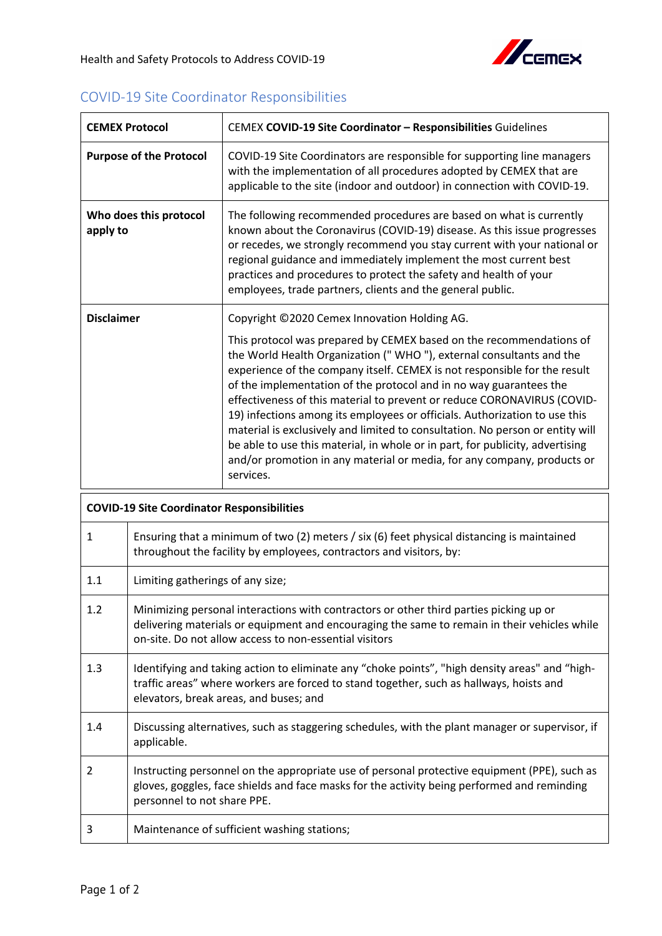## COVID-19 Site Coordinator Responsibilities

| <b>CEMEX Protocol</b>                             |                                                                                                                                                                                                                                                  | CEMEX COVID-19 Site Coordinator - Responsibilities Guidelines                                                                                                                                                                                                                                                                                                                                                                                                                                                                                                                                                                                                                                                                                                      |
|---------------------------------------------------|--------------------------------------------------------------------------------------------------------------------------------------------------------------------------------------------------------------------------------------------------|--------------------------------------------------------------------------------------------------------------------------------------------------------------------------------------------------------------------------------------------------------------------------------------------------------------------------------------------------------------------------------------------------------------------------------------------------------------------------------------------------------------------------------------------------------------------------------------------------------------------------------------------------------------------------------------------------------------------------------------------------------------------|
|                                                   | <b>Purpose of the Protocol</b>                                                                                                                                                                                                                   | COVID-19 Site Coordinators are responsible for supporting line managers<br>with the implementation of all procedures adopted by CEMEX that are<br>applicable to the site (indoor and outdoor) in connection with COVID-19.                                                                                                                                                                                                                                                                                                                                                                                                                                                                                                                                         |
| Who does this protocol<br>apply to                |                                                                                                                                                                                                                                                  | The following recommended procedures are based on what is currently<br>known about the Coronavirus (COVID-19) disease. As this issue progresses<br>or recedes, we strongly recommend you stay current with your national or<br>regional guidance and immediately implement the most current best<br>practices and procedures to protect the safety and health of your<br>employees, trade partners, clients and the general public.                                                                                                                                                                                                                                                                                                                                |
| <b>Disclaimer</b>                                 |                                                                                                                                                                                                                                                  | Copyright ©2020 Cemex Innovation Holding AG.<br>This protocol was prepared by CEMEX based on the recommendations of<br>the World Health Organization (" WHO "), external consultants and the<br>experience of the company itself. CEMEX is not responsible for the result<br>of the implementation of the protocol and in no way guarantees the<br>effectiveness of this material to prevent or reduce CORONAVIRUS (COVID-<br>19) infections among its employees or officials. Authorization to use this<br>material is exclusively and limited to consultation. No person or entity will<br>be able to use this material, in whole or in part, for publicity, advertising<br>and/or promotion in any material or media, for any company, products or<br>services. |
| <b>COVID-19 Site Coordinator Responsibilities</b> |                                                                                                                                                                                                                                                  |                                                                                                                                                                                                                                                                                                                                                                                                                                                                                                                                                                                                                                                                                                                                                                    |
| 1                                                 |                                                                                                                                                                                                                                                  | Ensuring that a minimum of two (2) meters / six (6) feet physical distancing is maintained<br>throughout the facility by employees, contractors and visitors, by:                                                                                                                                                                                                                                                                                                                                                                                                                                                                                                                                                                                                  |
| 1.1                                               | Limiting gatherings of any size;                                                                                                                                                                                                                 |                                                                                                                                                                                                                                                                                                                                                                                                                                                                                                                                                                                                                                                                                                                                                                    |
| 1.2                                               | Minimizing personal interactions with contractors or other third parties picking up or<br>delivering materials or equipment and encouraging the same to remain in their vehicles while<br>on-site. Do not allow access to non-essential visitors |                                                                                                                                                                                                                                                                                                                                                                                                                                                                                                                                                                                                                                                                                                                                                                    |
| 1.3                                               | Identifying and taking action to eliminate any "choke points", "high density areas" and "high-<br>traffic areas" where workers are forced to stand together, such as hallways, hoists and<br>elevators, break areas, and buses; and              |                                                                                                                                                                                                                                                                                                                                                                                                                                                                                                                                                                                                                                                                                                                                                                    |
| 1.4                                               | Discussing alternatives, such as staggering schedules, with the plant manager or supervisor, if<br>applicable.                                                                                                                                   |                                                                                                                                                                                                                                                                                                                                                                                                                                                                                                                                                                                                                                                                                                                                                                    |
| 2                                                 | Instructing personnel on the appropriate use of personal protective equipment (PPE), such as<br>gloves, goggles, face shields and face masks for the activity being performed and reminding<br>personnel to not share PPE.                       |                                                                                                                                                                                                                                                                                                                                                                                                                                                                                                                                                                                                                                                                                                                                                                    |
| 3                                                 |                                                                                                                                                                                                                                                  | Maintenance of sufficient washing stations;                                                                                                                                                                                                                                                                                                                                                                                                                                                                                                                                                                                                                                                                                                                        |